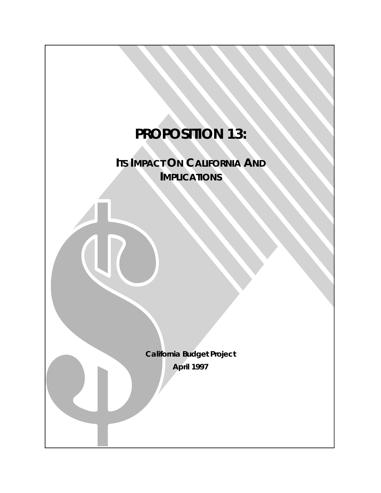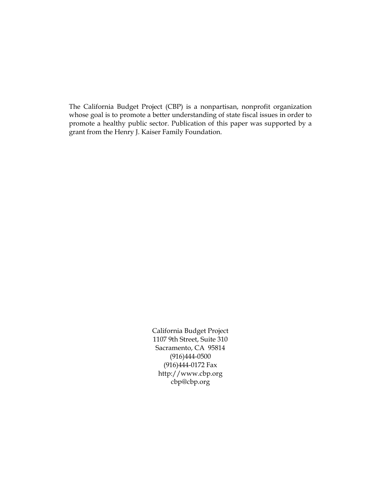The California Budget Project (CBP) is a nonpartisan, nonprofit organization whose goal is to promote a better understanding of state fiscal issues in order to promote a healthy public sector. Publication of this paper was supported by a grant from the Henry J. Kaiser Family Foundation.

> California Budget Project 1107 9th Street, Suite 310 Sacramento, CA 95814 (916)444-0500 (916)444-0172 Fax http://www.cbp.org cbp@cbp.org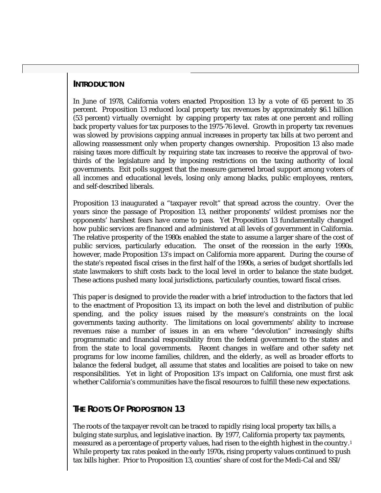# **INTRODUCTION**

In June of 1978, California voters enacted Proposition 13 by a vote of 65 percent to 35 percent. Proposition 13 reduced local property tax revenues by approximately \$6.1 billion (53 percent) virtually overnight by capping property tax rates at one percent and rolling back property values for tax purposes to the 1975-76 level. Growth in property tax revenues was slowed by provisions capping annual increases in property tax bills at two percent and allowing reassessment only when property changes ownership. Proposition 13 also made raising taxes more difficult by requiring state tax increases to receive the approval of twothirds of the legislature and by imposing restrictions on the taxing authority of local governments. Exit polls suggest that the measure garnered broad support among voters of all incomes and educational levels, losing only among blacks, public employees, renters, and self-described liberals.

Proposition 13 inaugurated a "taxpayer revolt" that spread across the country. Over the years since the passage of Proposition 13, neither proponents' wildest promises nor the opponents' harshest fears have come to pass. Yet Proposition 13 fundamentally changed how public services are financed and administered at all levels of government in California. The relative prosperity of the 1980s enabled the state to assume a larger share of the cost of public services, particularly education. The onset of the recession in the early 1990s, however, made Proposition 13's impact on California more apparent. During the course of the state's repeated fiscal crises in the first half of the 1990s, a series of budget shortfalls led state lawmakers to shift costs back to the local level in order to balance the state budget. These actions pushed many local jurisdictions, particularly counties, toward fiscal crises.

This paper is designed to provide the reader with a brief introduction to the factors that led to the enactment of Proposition 13, its impact on both the level and distribution of public spending, and the policy issues raised by the measure's constraints on the local governments taxing authority. The limitations on local governments' ability to increase revenues raise a number of issues in an era where "devolution" increasingly shifts programmatic and financial responsibility from the federal government to the states and from the state to local governments. Recent changes in welfare and other safety net programs for low income families, children, and the elderly, as well as broader efforts to balance the federal budget, all assume that states and localities are poised to take on new responsibilities. Yet in light of Proposition 13's impact on California, one must first ask whether California's communities have the fiscal resources to fulfill these new expectations.

# **THE ROOTS OF PROPOSITION 13**

The roots of the taxpayer revolt can be traced to rapidly rising local property tax bills, a bulging state surplus, and legislative inaction. By 1977, California property tax payments, measured as a percentage of property values, had risen to the eighth highest in the country.1 While property tax *rates* peaked in the early 1970s, rising property values continued to push tax bills higher. Prior to Proposition 13, counties' share of cost for the Medi-Cal and SSI/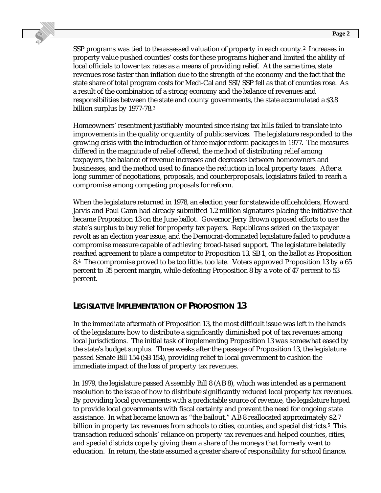SSP programs was tied to the assessed valuation of property in each county.<sup>2</sup> Increases in property value pushed counties' costs for these programs higher and limited the ability of local officials to lower tax rates as a means of providing relief. At the same time, state revenues rose faster than inflation due to the strength of the economy and the fact that the state share of total program costs for Medi-Cal and SSI/SSP fell as that of counties rose. As a result of the combination of a strong economy and the balance of revenues and responsibilities between the state and county governments, the state accumulated a \$3.8 billion surplus by 1977-78.3

Homeowners' resentment justifiably mounted since rising tax bills failed to translate into improvements in the quality or quantity of public services. The legislature responded to the growing crisis with the introduction of three major reform packages in 1977. The measures differed in the magnitude of relief offered, the method of distributing relief among taxpayers, the balance of revenue increases and decreases between homeowners and businesses, and the method used to finance the reduction in local property taxes. After a long summer of negotiations, proposals, and counterproposals, legislators failed to reach a compromise among competing proposals for reform.

When the legislature returned in 1978, an election year for statewide officeholders, Howard Jarvis and Paul Gann had already submitted 1.2 million signatures placing the initiative that became Proposition 13 on the June ballot. Governor Jerry Brown opposed efforts to use the state's surplus to buy relief for property tax payers. Republicans seized on the taxpayer revolt as an election year issue, and the Democrat-dominated legislature failed to produce a compromise measure capable of achieving broad-based support. The legislature belatedly reached agreement to place a competitor to Proposition 13, SB 1, on the ballot as Proposition 8.4 The compromise proved to be too little, too late. Voters approved Proposition 13 by a 65 percent to 35 percent margin, while defeating Proposition 8 by a vote of 47 percent to 53 percent.

# **LEGISLATIVE IMPLEMENTATION OF PROPOSITION 13**

In the immediate aftermath of Proposition 13, the most difficult issue was left in the hands of the legislature: how to distribute a significantly diminished pot of tax revenues among local jurisdictions. The initial task of implementing Proposition 13 was somewhat eased by the state's budget surplus. Three weeks after the passage of Proposition 13, the legislature passed Senate Bill 154 (SB 154), providing relief to local government to cushion the immediate impact of the loss of property tax revenues.

In 1979, the legislature passed Assembly Bill 8 (AB 8), which was intended as a permanent resolution to the issue of how to distribute significantly reduced local property tax revenues. By providing local governments with a predictable source of revenue, the legislature hoped to provide local governments with fiscal certainty and prevent the need for ongoing state assistance. In what became known as "the bailout," AB 8 reallocated approximately \$2.7 billion in property tax revenues from schools to cities, counties, and special districts.<sup>5</sup> This transaction reduced schools' reliance on property tax revenues and helped counties, cities, and special districts cope by giving them a share of the moneys that formerly went to education. In return, the state assumed a greater share of responsibility for school finance.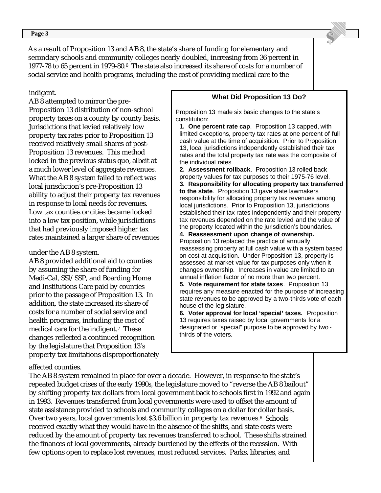**Page 3** 

As a result of Proposition 13 and AB 8, the state's share of funding for elementary and secondary schools and community colleges nearly doubled, increasing from 36 percent in 1977-78 to 65 percent in 1979-80.6 The state also increased its share of costs for a number of social service and health programs, including the cost of providing medical care to the

indigent.

AB 8 attempted to mirror the pre-Proposition 13 distribution of non-school property taxes on a county by county basis. Jurisdictions that levied relatively low property tax rates prior to Proposition 13 received relatively small shares of post-Proposition 13 revenues. This method locked in the previous status quo, albeit at a much lower level of aggregate revenues. What the AB 8 system failed to reflect was local jurisdiction's pre-Proposition 13 ability to adjust their property tax revenues in response to local needs for revenues. Low tax counties or cities became locked into a low tax position, while jurisdictions that had previously imposed higher tax rates maintained a larger share of revenues

#### under the AB 8 system.

AB 8 provided additional aid to counties by assuming the share of funding for Medi-Cal, SSI/SSP, and Boarding Home and Institutions Care paid by counties prior to the passage of Proposition 13. In addition, the state increased its share of costs for a number of social service and health programs, including the cost of medical care for the indigent.7 These changes reflected a continued recognition by the legislature that Proposition 13's property tax limitations disproportionately

#### **What Did Proposition 13 Do?**

 Proposition 13 made six basic changes to the state's constitution:

**1. One percent rate cap**. Proposition 13 capped, with limited exceptions, property tax rates at one percent of full cash value at the time of acquisition. Prior to Proposition 13, local jurisdictions independently established their tax rates and the total property tax rate was the composite of the individual rates.

**2. Assessment rollback**. Proposition 13 rolled back property values for tax purposes to their 1975-76 level. **3. Responsibility for allocating property tax transferred to the state**. Proposition 13 gave state lawmakers responsibility for allocating property tax revenues among local jurisdictions. Prior to Proposition 13, jurisdictions established their tax rates independently and their property tax revenues depended on the rate levied and the value of the property located within the jurisdiction's boundaries.

**4. Reassessment upon change of ownership.** Proposition 13 replaced the practice of annually reassessing property at full cash value with a system based on cost at acquisition. Under Proposition 13, property is assessed at market value for tax purposes only when it changes ownership. Increases in value are limited to an annual inflation factor of no more than two percent.

**5. Vote requirement for state taxes**. Proposition 13 requires any measure enacted for the purpose of increasing state revenues to be approved by a two-thirds vote of each house of the legislature.

**6. Voter approval for local 'special' taxes.** Proposition 13 requires taxes raised by local governments for a designated or "special" purpose to be approved by two thirds of the voters.

#### affected counties.

The AB 8 system remained in place for over a decade. However, in response to the state's repeated budget crises of the early 1990s, the legislature moved to "reverse the AB 8 bailout" by shifting property tax dollars from local government back to schools first in 1992 and again in 1993. Revenues transferred from local governments were used to offset the amount of state assistance provided to schools and community colleges on a dollar for dollar basis. Over two years, local governments lost \$3.6 billion in property tax revenues.8 Schools received exactly what they would have in the absence of the shifts, and state costs were reduced by the amount of property tax revenues transferred to school. These shifts strained the finances of local governments, already burdened by the effects of the recession. With few options open to replace lost revenues, most reduced services. Parks, libraries, and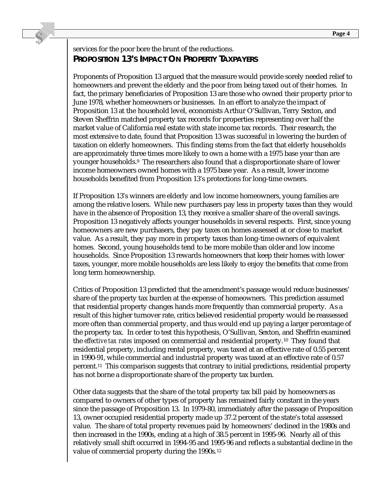# services for the poor bore the brunt of the reductions. **PROPOSITION 13'S IMPACT ON PROPERTY TAXPAYERS**

Proponents of Proposition 13 argued that the measure would provide sorely needed relief to homeowners and prevent the elderly and the poor from being taxed out of their homes. In fact, the primary beneficiaries of Proposition 13 are those who owned their property prior to June 1978, whether homeowners or businesses. In an effort to analyze the impact of Proposition 13 at the household level, economists Arthur O'Sullivan, Terry Sexton, and Steven Sheffrin matched property tax records for properties representing over half the market value of California real estate with state income tax records. Their research, the most extensive to date, found that Proposition 13 was successful in lowering the burden of taxation on elderly homeowners. This finding stems from the fact that elderly households are approximately three times more likely to own a home with a 1975 base year than are younger households.9 The researchers also found that a disproportionate share of lower income homeowners owned homes with a 1975 base year. As a result, lower income households benefited from Proposition 13's protections for long-time owners.

If Proposition 13's winners are elderly and low income homeowners, young families are among the relative losers. While new purchasers pay less in property taxes than they would have in the absence of Proposition 13, they receive a smaller share of the overall savings. Proposition 13 negatively affects younger households in several respects. First, since young homeowners are new purchasers, they pay taxes on homes assessed at or close to market value. As a result, they pay more in property taxes than long-time owners of equivalent homes. Second, young households tend to be more mobile than older and low income households. Since Proposition 13 rewards homeowners that keep their homes with lower taxes, younger, more mobile households are less likely to enjoy the benefits that come from long term homeownership.

Critics of Proposition 13 predicted that the amendment's passage would reduce businesses' share of the property tax burden at the expense of homeowners. This prediction assumed that residential property changes hands more frequently than commercial property. As a result of this higher turnover rate, critics believed residential property would be reassessed more often than commercial property, and thus would end up paying a larger percentage of the property tax. In order to test this hypothesis, O'Sullivan, Sexton, and Sheffrin examined the *effective tax rates* imposed on commercial and residential property.10 They found that residential property, including rental property, was taxed at an effective rate of 0.55 percent in 1990-91, while commercial and industrial property was taxed at an effective rate of 0.57 percent.11 This comparison suggests that contrary to initial predictions, residential property has not borne a disproportionate share of the property tax burden.

Other data suggests that the share of the total property tax bill paid by homeowners as compared to owners of other types of property has remained fairly constant in the years since the passage of Proposition 13. In 1979-80, immediately after the passage of Proposition 13, owner occupied residential property made up 37.2 percent of the state's total assessed value. The share of total property revenues paid by homeowners' declined in the 1980s and then increased in the 1990s, ending at a high of 38.5 percent in 1995-96. Nearly all of this relatively small shift occurred in 1994-95 and 1995-96 and reflects a substantial decline in the value of commercial property during the 1990s.<sup>12</sup>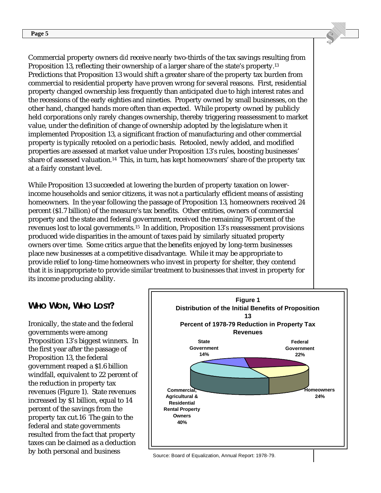Commercial property owners *did* receive nearly two-thirds of the tax savings resulting from Proposition 13, reflecting their ownership of a larger share of the state's property.13 Predictions that Proposition 13 would shift a greater share of the property tax burden from commercial to residential property have proven wrong for several reasons. First, residential property changed ownership less frequently than anticipated due to high interest rates and the recessions of the early eighties and nineties. Property owned by small businesses, on the other hand, changed hands more often than expected. While property owned by publicly held corporations only rarely changes ownership, thereby triggering reassessment to market value, under the definition of change of ownership adopted by the legislature when it implemented Proposition 13, a significant fraction of manufacturing and other commercial property is typically retooled on a periodic basis. Retooled, newly added, and modified properties are assessed at market value under Proposition 13's rules, boosting businesses' share of assessed valuation.14 This, in turn, has kept homeowners' share of the property tax at a fairly constant level.

While Proposition 13 succeeded at lowering the burden of property taxation on lowerincome households and senior citizens, it was not a particularly efficient means of assisting homeowners. In the year following the passage of Proposition 13, homeowners received 24 percent (\$1.7 billion) of the measure's tax benefits. Other entities, owners of commercial property and the state and federal government, received the remaining 76 percent of the revenues lost to local governments.15 In addition, Proposition 13's reassessment provisions produced wide disparities in the amount of taxes paid by similarly situated property owners over time. Some critics argue that the benefits enjoyed by long-term businesses place new businesses at a competitive disadvantage. While it may be appropriate to provide relief to long-time homeowners who invest in property for shelter, they contend that it is inappropriate to provide similar treatment to businesses that invest in property for its income producing ability.

## **WHO WON, WHO LOST?**

Ironically, the state and the federal governments were among Proposition 13's biggest winners. In the first year after the passage of Proposition 13, the federal government reaped a \$1.6 billion windfall, equivalent to 22 percent of the reduction in property tax revenues (Figure 1). State revenues increased by \$1 billion, equal to 14 percent of the savings from the property tax cut.16 The gain to the federal and state governments resulted from the fact that property taxes can be claimed as a deduction by both personal and business



Source: Board of Equalization, Annual Report: 1978-79.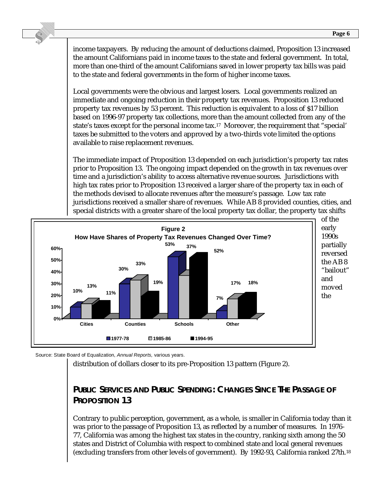income taxpayers. By reducing the amount of deductions claimed, Proposition 13 increased the amount Californians paid in income taxes to the state and federal government. In total, more than one-third of the amount Californians saved in lower property tax bills was paid to the state and federal governments in the form of higher income taxes.

Local governments were the obvious and largest losers. Local governments realized an immediate and ongoing reduction in their property tax revenues. Proposition 13 reduced property tax revenues by 53 percent. This reduction is equivalent to a loss of \$17 billion based on 1996-97 property tax collections, more than the amount collected from any of the state's taxes except for the personal income tax.17 Moreover, the requirement that "special' taxes be submitted to the voters and approved by a two-thirds vote limited the options available to raise replacement revenues.

The immediate impact of Proposition 13 depended on each jurisdiction's property tax rates prior to Proposition 13. The ongoing impact depended on the growth in tax revenues over time and a jurisdiction's ability to access alternative revenue sources. Jurisdictions with high tax rates prior to Proposition 13 received a larger share of the property tax in each of the methods devised to allocate revenues after the measure's passage. Low tax rate jurisdictions received a smaller share of revenues. While AB 8 provided counties, cities, and special districts with a greater share of the local property tax dollar, the property tax shifts



Source: State Board of Equalization, Annual Reports, various years.

distribution of dollars closer to its pre-Proposition 13 pattern (Figure 2).

# **PUBLIC SERVICES AND PUBLIC SPENDING: CHANGES SINCE THE PASSAGE OF PROPOSITION 13**

Contrary to public perception, government, as a whole, is smaller in California today than it was prior to the passage of Proposition 13, as reflected by a number of measures. In 1976- 77, California was among the highest tax states in the country, ranking sixth among the 50 states and District of Columbia with respect to combined state and local general revenues (excluding transfers from other levels of government). By 1992-93, California ranked 27th.18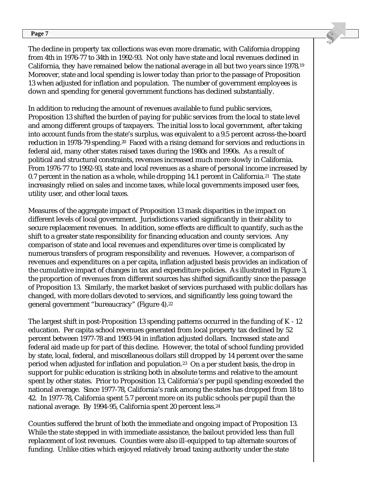#### **Page 7**

The decline in property tax collections was even more dramatic, with California dropping from 4th in 1976-77 to 34th in 1992-93. Not only have state and local revenues declined in California, they have remained below the national average in all but two years since 1978.19 Moreover, state and local spending is lower today than prior to the passage of Proposition 13 when adjusted for inflation and population. The number of government employees is down and spending for general government functions has declined substantially.

In addition to reducing the amount of revenues available to fund public services, Proposition 13 shifted the burden of paying for public services from the local to state level and among different groups of taxpayers. The initial loss to local government, after taking into account funds from the state's surplus, was equivalent to a 9.5 percent across-the-board reduction in 1978-79 spending.<sup>20</sup> Faced with a rising demand for services and reductions in federal aid, many other states raised taxes during the 1980s and 1990s. As a result of political and structural constraints, revenues increased much more slowly in California. From 1976-77 to 1992-93, state and local revenues as a share of personal income increased by 0.7 percent in the nation as a whole, while dropping 14.1 percent in California.<sup>21</sup> The state increasingly relied on sales and income taxes, while local governments imposed user fees, utility user, and other local taxes.

Measures of the aggregate impact of Proposition 13 mask disparities in the impact on different levels of local government. Jurisdictions varied significantly in their ability to secure replacement revenues. In addition, some effects are difficult to quantify, such as the shift to a greater state responsibility for financing education and county services. Any comparison of state and local revenues and expenditures over time is complicated by numerous transfers of program responsibility and revenues. However, a comparison of revenues and expenditures on a per capita, inflation adjusted basis provides an indication of the cumulative impact of changes in tax and expenditure policies. As illustrated in Figure 3, the proportion of revenues from different sources has shifted significantly since the passage of Proposition 13. Similarly, the market basket of services purchased with public dollars has changed, with more dollars devoted to services, and significantly less going toward the general government "bureaucracy" (Figure 4).22

The largest shift in post-Proposition 13 spending patterns occurred in the funding of K - 12 education. Per capita school revenues generated from local property tax declined by 52 percent between 1977-78 and 1993-94 in inflation adjusted dollars. Increased state and federal aid made up for part of this decline. However, the total of school funding provided by state, local, federal, and miscellaneous dollars still dropped by 14 percent over the same period when adjusted for inflation and population.23 On a per student basis, the drop in support for public education is striking both in absolute terms and relative to the amount spent by other states. Prior to Proposition 13, California's per pupil spending exceeded the national average. Since 1977-78, California's rank among the states has dropped from 18 to 42. In 1977-78, California spent 5.7 percent more on its public schools per pupil than the national average. By 1994-95, California spent 20 percent less.24

Counties suffered the brunt of both the immediate and ongoing impact of Proposition 13. While the state stepped in with immediate assistance, the bailout provided less than full replacement of lost revenues. Counties were also ill-equipped to tap alternate sources of funding. Unlike cities which enjoyed relatively broad taxing authority under the state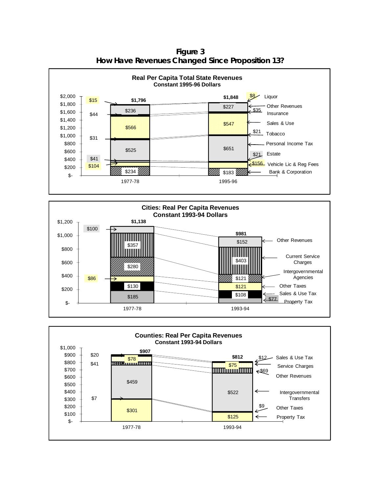

**Figure 3 How Have Revenues Changed Since Proposition 13?**



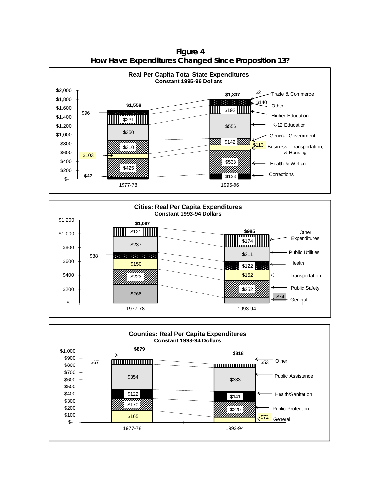**Real Per Capita Total State Expenditures Constant 1995-96 Dollars** \$2,000 \$2 **\$1,807** Trade & Commerce \$1,800 \$140  $\sim 1000$ **\$1,558 Other**  \$1,600 \$96 **HERRICHE THE STATE OF THE STATE OF THE STATE OF THE STATE OF THE STATE OF THE STATE OF THE STATE OF THE STATE OF THE STATE OF THE STATE OF THE STATE OF THE STATE OF THE STATE OF THE STATE OF THE STATE OF THE STATE OF**  \$1,400 Higher Education \$231 K-12 Education \$1,200 \$556 \$350 \$1,000 General Government  $\overline{\mathbb{N}}$  \$142  $\overline{\mathbb{N}}$  \$800  $$310$   $$113$ Business, Transportation, \$600 & Housing \$103 \$400 9999 \$538 Health & Welfare \$425 \$200 **Corrections** \$42 William \$123 \$- 1977-78 1995-96





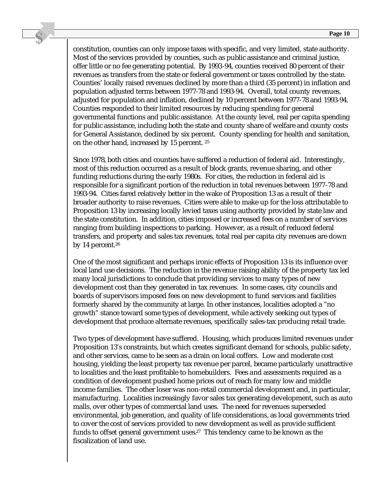constitution, counties can only impose taxes with specific, and very limited, state authority. Most of the services provided by counties, such as public assistance and criminal justice, offer little or no fee generating potential. By 1993-94, counties received 80 percent of their revenues as transfers from the state or federal government or taxes controlled by the state. Counties' locally raised revenues declined by more than a third (35 percent) in inflation and population adjusted terms between 1977-78 and 1993-94. Overall, total county revenues, adjusted for population and inflation, declined by 10 percent between 1977-78 and 1993-94. Counties responded to their limited resources by reducing spending for general governmental functions and public assistance. At the county level, real per capita spending for public assistance, including both the state and county share of welfare and county costs for General Assistance, declined by six percent. County spending for health and sanitation, on the other hand, increased by 15 percent. 25

Since 1978, both cities and counties have suffered a reduction of federal aid. Interestingly, most of this reduction occurred as a result of block grants, revenue sharing, and other funding reductions during the early 1980s. For cities, the reduction in federal aid is responsible for a significant portion of the reduction in total revenues between 1977-78 and 1993-94. Cities fared relatively better in the wake of Proposition 13 as a result of their broader authority to raise revenues. Cities were able to make up for the loss attributable to Proposition 13 by increasing locally levied taxes using authority provided by state law and the state constitution. In addition, cities imposed or increased fees on a number of services ranging from building inspections to parking. However, as a result of reduced federal transfers, and property and sales tax revenues, total real per capita city revenues are down by 14 percent.26

One of the most significant and perhaps ironic effects of Proposition 13 is its influence over local land use decisions. The reduction in the revenue raising ability of the property tax led many local jurisdictions to conclude that providing services to many types of new development cost than they generated in tax revenues. In some cases, city councils and boards of supervisors imposed fees on new development to fund services and facilities formerly shared by the community at large. In other instances, localities adopted a "no growth" stance toward some types of development, while actively seeking out types of development that produce alternate revenues, specifically sales-tax producing retail trade.

Two types of development have suffered. Housing, which produces limited revenues under Proposition 13's constraints, but which creates significant demand for schools, public safety, and other services, came to be seen as a drain on local coffers. Low and moderate cost housing, yielding the least property tax revenue per parcel, became particularly unattractive to localities and the least profitable to homebuilders. Fees and assessments required as a condition of development pushed home prices out of reach for many low and middle income families. The other loser was non-retail commercial development and, in particular, manufacturing. Localities increasingly favor sales tax generating development, such as auto malls, over other types of commercial land uses. The need for revenues superseded environmental, job generation, and quality of life considerations, as local governments tried to cover the cost of services provided to new development as well as provide sufficient funds to offset general government uses.<sup>27</sup> This tendency came to be known as the fiscalization of land use.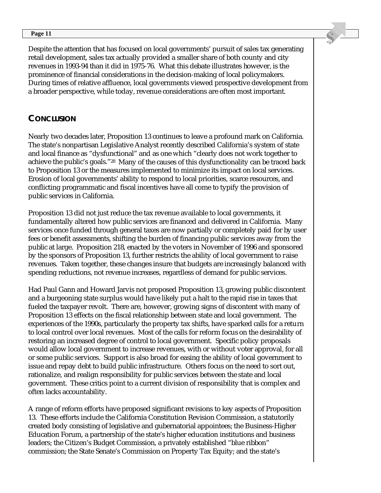Despite the attention that has focused on local governments' pursuit of sales tax generating retail development, sales tax actually provided a smaller share of both county and city revenues in 1993-94 than it did in 1975-76. What this debate illustrates however, is the prominence of financial considerations in the decision-making of local policymakers. During times of relative affluence, local governments viewed prospective development from a broader perspective, while today, revenue considerations are often most important.

## **CONCLUSION**

Nearly two decades later, Proposition 13 continues to leave a profound mark on California. The state's nonpartisan Legislative Analyst recently described California's system of state and local finance as "dysfunctional" and as one which "clearly does not work together to achieve the public's goals."28 Many of the causes of this dysfunctionality can be traced back to Proposition 13 or the measures implemented to minimize its impact on local services. Erosion of local governments' ability to respond to local priorities, scarce resources, and conflicting programmatic and fiscal incentives have all come to typify the provision of public services in California.

Proposition 13 did not just reduce the tax revenue available to local governments, it fundamentally altered how public services are financed and delivered in California. Many services once funded through general taxes are now partially or completely paid for by user fees or benefit assessments, shifting the burden of financing public services away from the public at large. Proposition 218, enacted by the voters in November of 1996 and sponsored by the sponsors of Proposition 13, further restricts the ability of local government to raise revenues. Taken together, these changes insure that budgets are increasingly balanced with spending reductions, not revenue increases, regardless of demand for public services.

Had Paul Gann and Howard Jarvis not proposed Proposition 13, growing public discontent and a burgeoning state surplus would have likely put a halt to the rapid rise in taxes that fueled the taxpayer revolt. There are, however, growing signs of discontent with many of Proposition 13 effects on the fiscal relationship between state and local government. The experiences of the 1990s, particularly the property tax shifts, have sparked calls for a return to local control over local revenues. Most of the calls for reform focus on the desirability of restoring an increased degree of control to local government. Specific policy proposals would allow local government to increase revenues, with or without voter approval, for all or some public services. Support is also broad for easing the ability of local government to issue and repay debt to build public infrastructure. Others focus on the need to sort out, rationalize, and realign responsibility for public services between the state and local government. These critics point to a current division of responsibility that is complex and often lacks accountability.

A range of reform efforts have proposed significant revisions to key aspects of Proposition 13. These efforts include the California Constitution Revision Commission, a statutorily created body consisting of legislative and gubernatorial appointees; the Business-Higher Education Forum, a partnership of the state's higher education institutions and business leaders; the Citizen's Budget Commission, a privately established "blue ribbon" commission; the State Senate's Commission on Property Tax Equity; and the state's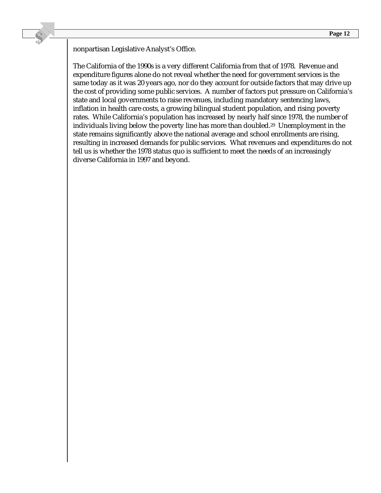nonpartisan Legislative Analyst's Office.

The California of the 1990s is a very different California from that of 1978. Revenue and expenditure figures alone do not reveal whether the need for government services is the same today as it was 20 years ago, nor do they account for outside factors that may drive up the cost of providing some public services. A number of factors put pressure on California's state and local governments to raise revenues, including mandatory sentencing laws, inflation in health care costs, a growing bilingual student population, and rising poverty rates. While California's population has increased by nearly half since 1978, the number of individuals living below the poverty line has more than doubled.29 Unemployment in the state remains significantly above the national average and school enrollments are rising, resulting in increased demands for public services. What revenues and expenditures do not tell us is whether the 1978 status quo is sufficient to meet the needs of an increasingly diverse California in 1997 and beyond.